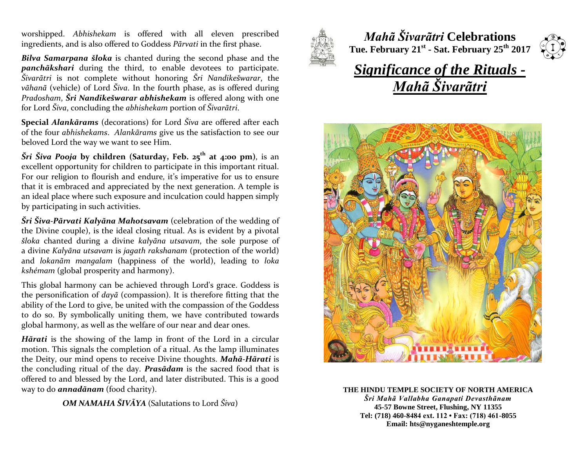worshipped. *Abhishekam* is offered with all eleven prescribed ingredients, and is also offered to Goddess *Pãrvati* in the first phase.

*Bilva Samarpana šloka* is chanted during the second phase and the *panchãkshari* during the third, to enable devotees to participate. *Šivarãtri* is not complete without honoring *Šri Nandikešwarar*, the *vãhanã* (vehicle) of Lord *Šiva*. In the fourth phase, as is offered during *Pradosham*, *Šri Nandikešwarar abhishekam* is offered along with one for Lord *Šiva*, concluding the *abhishekam* portion of *Šivarãtri*.

**Special** *Alankãrams* (decorations) for Lord *Šiva* are offered after each of the four *abhishekams*. *Alankãrams* give us the satisfaction to see our beloved Lord the way we want to see Him.

*Šri Šiva Pooja* **by children (Saturday, Feb. 25th at 4:00 pm)**, is an excellent opportunity for children to participate in this important ritual. For our religion to flourish and endure, it's imperative for us to ensure that it is embraced and appreciated by the next generation. A temple is an ideal place where such exposure and inculcation could happen simply by participating in such activities.

*Šri Šiva-Pãrvati Kalyãna Mahotsavam* (celebration of the wedding of the Divine couple), is the ideal closing ritual. As is evident by a pivotal *šloka* chanted during a divine *kalyãna utsavam*, the sole purpose of a divine *Kalyãna utsavam* is *jagath rakshanam* (protection of the world) and *lokanãm mangalam* (happiness of the world), leading to *loka kshémam* (global prosperity and harmony).

This global harmony can be achieved through Lord's grace. Goddess is the personification of *dayã* (compassion). It is therefore fitting that the ability of the Lord to give, be united with the compassion of the Goddess to do so. By symbolically uniting them, we have contributed towards global harmony, as well as the welfare of our near and dear ones.

*Hãrati* is the showing of the lamp in front of the Lord in a circular motion. This signals the completion of a ritual. As the lamp illuminates the Deity, our mind opens to receive Divine thoughts. *Mahã-Hãrati* is the concluding ritual of the day. *Prasãdam* is the sacred food that is offered to and blessed by the Lord, and later distributed. This is a good way to do *annadãnam* (food charity).

*OM NAMAHA ŠIVÃYA* (Salutations to Lord *Šiva*)



*Mahã Šivarãtri* **Celebrations Tue. February 21st - Sat. February 25th 2017**



## *Significance of the Rituals - Mahã Šivarãtri*



**THE HINDU TEMPLE SOCIETY OF NORTH AMERICA** *Šri Mahã Vallabha Ganapati Devasthãnam* **45-57 Bowne Street, Flushing, NY 11355 Tel: (718) 460-8484 ext. 112 • Fax: (718) 461-8055 Email: hts@nyganeshtemple.org**